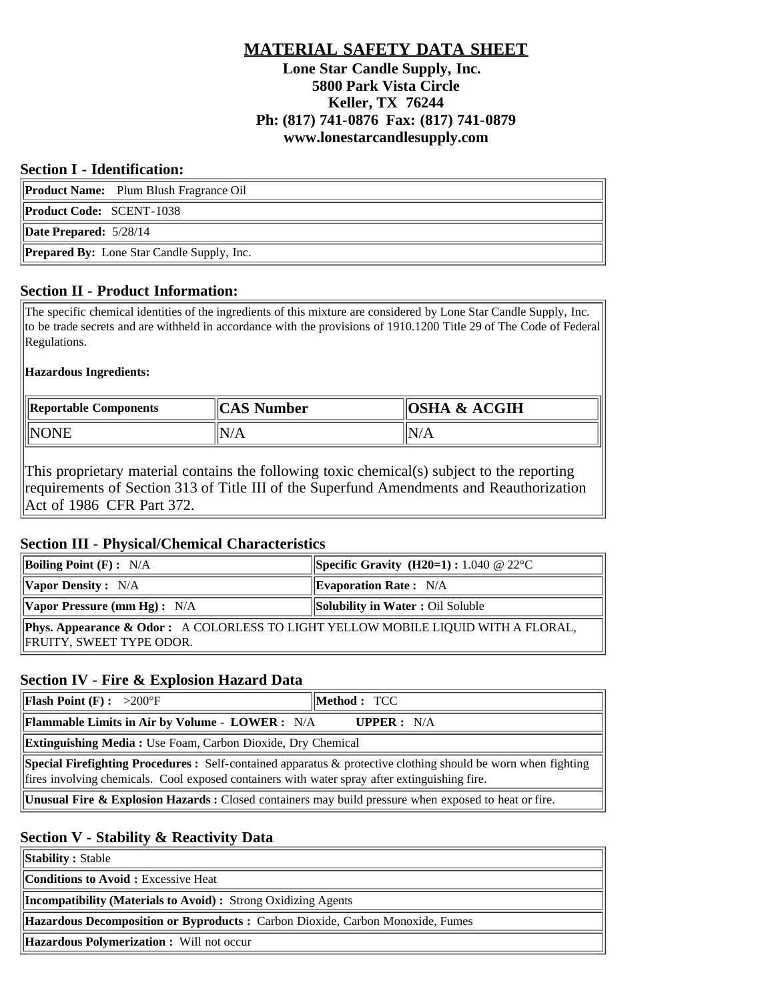# **MATERIAL SAFETY DATA SHEET Lone Star Candle Supply, Inc. 5800 Park Vista Circle Keller, TX 76244 Ph: (817) 741-0876 Fax: (817) 741-0879 www.lonestarcandlesupply.com**

#### **Section I - Identification:**

|                                                   | <b>Product Name:</b> Plum Blush Fragrance Oil |  |
|---------------------------------------------------|-----------------------------------------------|--|
| <b>Product Code: SCENT-1038</b>                   |                                               |  |
| Date Prepared: 5/28/14                            |                                               |  |
| <b>Prepared By:</b> Lone Star Candle Supply, Inc. |                                               |  |

### **Section II - Product Information:**

The specific chemical identities of the ingredients of this mixture are considered by Lone Star Candle Supply, Inc. to be trade secrets and are withheld in accordance with the provisions of 1910.1200 Title 29 of The Code of Federal Regulations.

### **Hazardous Ingredients:**

| Reportable Components | <b>CAS Number</b> | $\parallel$ OSHA & ACGIH |
|-----------------------|-------------------|--------------------------|
|                       | N/A               | N/A                      |

This proprietary material contains the following toxic chemical(s) subject to the reporting requirements of Section 313 of Title III of the Superfund Amendments and Reauthorization Act of 1986 CFR Part 372.

### **Section III - Physical/Chemical Characteristics**

| <b>Boiling Point (F) :</b> N/A                                                                                | <b>Specific Gravity (H20=1):</b> 1.040 @ 22 °C |  |  |  |
|---------------------------------------------------------------------------------------------------------------|------------------------------------------------|--|--|--|
| $\forall$ Vapor Density : N/A                                                                                 | $\parallel$ Evaporation Rate: N/A              |  |  |  |
| <b>Vapor Pressure (mm Hg):</b> N/A                                                                            | <b>Solubility in Water: Oil Soluble</b>        |  |  |  |
| Phys. Appearance & Odor: A COLORLESS TO LIGHT YELLOW MOBILE LIQUID WITH A FLORAL,<br>FRUITY, SWEET TYPE ODOR. |                                                |  |  |  |

### **Section IV - Fire & Explosion Hazard Data**

| <b>Flash Point (F) :</b> $>200^{\circ}$ F                                                                                                                                                                             | Method: TCC |  |  |  |
|-----------------------------------------------------------------------------------------------------------------------------------------------------------------------------------------------------------------------|-------------|--|--|--|
| <b>The Termin III Example 1.1 In Links</b> in Air by Volume - LOWER : $N/A$<br><b>UPPER</b> : $N/A$                                                                                                                   |             |  |  |  |
| <b>Extinguishing Media:</b> Use Foam, Carbon Dioxide, Dry Chemical                                                                                                                                                    |             |  |  |  |
| <b>Special Firefighting Procedures :</b> Self-contained apparatus & protective clothing should be worn when fighting<br>fires involving chemicals. Cool exposed containers with water spray after extinguishing fire. |             |  |  |  |
| <b>  Unusual Fire &amp; Explosion Hazards:</b> Closed containers may build pressure when exposed to heat or fire.                                                                                                     |             |  |  |  |

## **Section V - Stability & Reactivity Data**

**Stability : Stable** 

**Conditions to Avoid :** Excessive Heat

**Incompatibility (Materials to Avoid) :** Strong Oxidizing Agents

**Hazardous Decomposition or Byproducts :** Carbon Dioxide, Carbon Monoxide, Fumes

**Hazardous Polymerization :** Will not occur